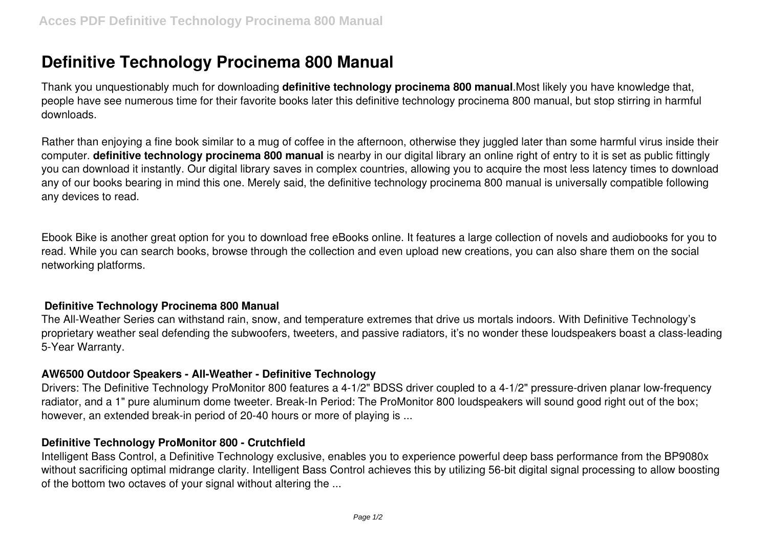# **Definitive Technology Procinema 800 Manual**

Thank you unquestionably much for downloading **definitive technology procinema 800 manual**.Most likely you have knowledge that, people have see numerous time for their favorite books later this definitive technology procinema 800 manual, but stop stirring in harmful downloads.

Rather than enjoying a fine book similar to a mug of coffee in the afternoon, otherwise they juggled later than some harmful virus inside their computer. **definitive technology procinema 800 manual** is nearby in our digital library an online right of entry to it is set as public fittingly you can download it instantly. Our digital library saves in complex countries, allowing you to acquire the most less latency times to download any of our books bearing in mind this one. Merely said, the definitive technology procinema 800 manual is universally compatible following any devices to read.

Ebook Bike is another great option for you to download free eBooks online. It features a large collection of novels and audiobooks for you to read. While you can search books, browse through the collection and even upload new creations, you can also share them on the social networking platforms.

### **Definitive Technology Procinema 800 Manual**

The All-Weather Series can withstand rain, snow, and temperature extremes that drive us mortals indoors. With Definitive Technology's proprietary weather seal defending the subwoofers, tweeters, and passive radiators, it's no wonder these loudspeakers boast a class-leading 5-Year Warranty.

### **AW6500 Outdoor Speakers - All-Weather - Definitive Technology**

Drivers: The Definitive Technology ProMonitor 800 features a 4-1/2" BDSS driver coupled to a 4-1/2" pressure-driven planar low-frequency radiator, and a 1" pure aluminum dome tweeter. Break-In Period: The ProMonitor 800 loudspeakers will sound good right out of the box; however, an extended break-in period of 20-40 hours or more of playing is ...

### **Definitive Technology ProMonitor 800 - Crutchfield**

Intelligent Bass Control, a Definitive Technology exclusive, enables you to experience powerful deep bass performance from the BP9080x without sacrificing optimal midrange clarity. Intelligent Bass Control achieves this by utilizing 56-bit digital signal processing to allow boosting of the bottom two octaves of your signal without altering the ...